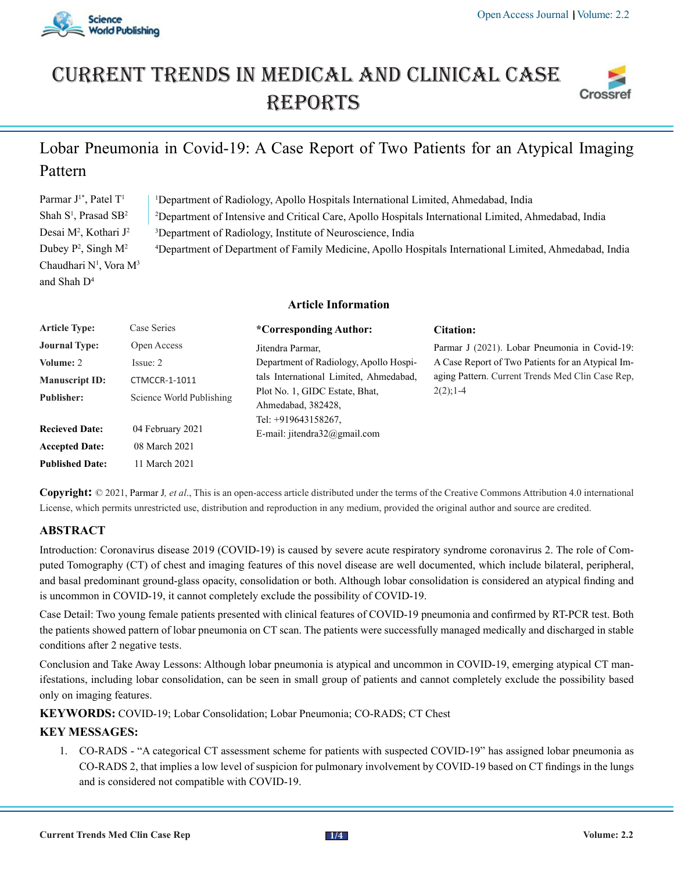

# Current trends in medical and Clinical case **REPORTS**



# Lobar Pneumonia in Covid-19: A Case Report of Two Patients for an Atypical Imaging Pattern

Parmar J<sup>1\*</sup>, Patel T<sup>1</sup> Shah S<sup>1</sup>, Prasad SB<sup>2</sup> Desai M<sup>2</sup>, Kothari J<sup>2</sup> Dubey  $P^2$ , Singh  $M^2$ Chaudhari N<sup>1</sup>, Vora M<sup>3</sup> and Shah D4 1 Department of Radiology, Apollo Hospitals International Limited, Ahmedabad, India 2 Department of Intensive and Critical Care, Apollo Hospitals International Limited, Ahmedabad, India 3 Department of Radiology, Institute of Neuroscience, India 4 Department of Department of Family Medicine, Apollo Hospitals International Limited, Ahmedabad, India

## **Article Information**

| <b>Article Type:</b>   | Case Series              | *Corresponding Author:                                                      | Citation:                                         |
|------------------------|--------------------------|-----------------------------------------------------------------------------|---------------------------------------------------|
| <b>Journal Type:</b>   | Open Access              | Jitendra Parmar,                                                            | Parmar J (2021). Lobar Pneumonia in Covid-19:     |
| Volume: 2              | Issue: 2                 | Department of Radiology, Apollo Hospi-                                      | A Case Report of Two Patients for an Atypical Im- |
| <b>Manuscript ID:</b>  | CTMCCR-1-1011            | tals International Limited, Ahmedabad,                                      | aging Pattern. Current Trends Med Clin Case Rep.  |
| <b>Publisher:</b>      | Science World Publishing | Plot No. 1, GIDC Estate, Bhat,<br>Ahmedabad, 382428,<br>Tel: +919643158267. | $2(2)$ ; 1-4                                      |
| <b>Recieved Date:</b>  | 04 February 2021         | E-mail: jitendra32@gmail.com                                                |                                                   |
| <b>Accepted Date:</b>  | 08 March 2021            |                                                                             |                                                   |
| <b>Published Date:</b> | 11 March 2021            |                                                                             |                                                   |

**Copyright:** © 2021, Parmar J*, et al*., This is an open-access article distributed under the terms of the Creative Commons Attribution 4.0 international License, which permits unrestricted use, distribution and reproduction in any medium, provided the original author and source are credited.

# **ABSTRACT**

Introduction: Coronavirus disease 2019 (COVID-19) is caused by severe acute respiratory syndrome coronavirus 2. The role of Computed Tomography (CT) of chest and imaging features of this novel disease are well documented, which include bilateral, peripheral, and basal predominant ground-glass opacity, consolidation or both. Although lobar consolidation is considered an atypical finding and is uncommon in COVID-19, it cannot completely exclude the possibility of COVID-19.

Case Detail: Two young female patients presented with clinical features of COVID-19 pneumonia and confirmed by RT-PCR test. Both the patients showed pattern of lobar pneumonia on CT scan. The patients were successfully managed medically and discharged in stable conditions after 2 negative tests.

Conclusion and Take Away Lessons: Although lobar pneumonia is atypical and uncommon in COVID-19, emerging atypical CT manifestations, including lobar consolidation, can be seen in small group of patients and cannot completely exclude the possibility based only on imaging features.

**KEYWORDS:** COVID-19; Lobar Consolidation; Lobar Pneumonia; CO-RADS; CT Chest

# **KEY MESSAGES:**

1. CO-RADS - "A categorical CT assessment scheme for patients with suspected COVID-19" has assigned lobar pneumonia as CO-RADS 2, that implies a low level of suspicion for pulmonary involvement by COVID-19 based on CT findings in the lungs and is considered not compatible with COVID-19.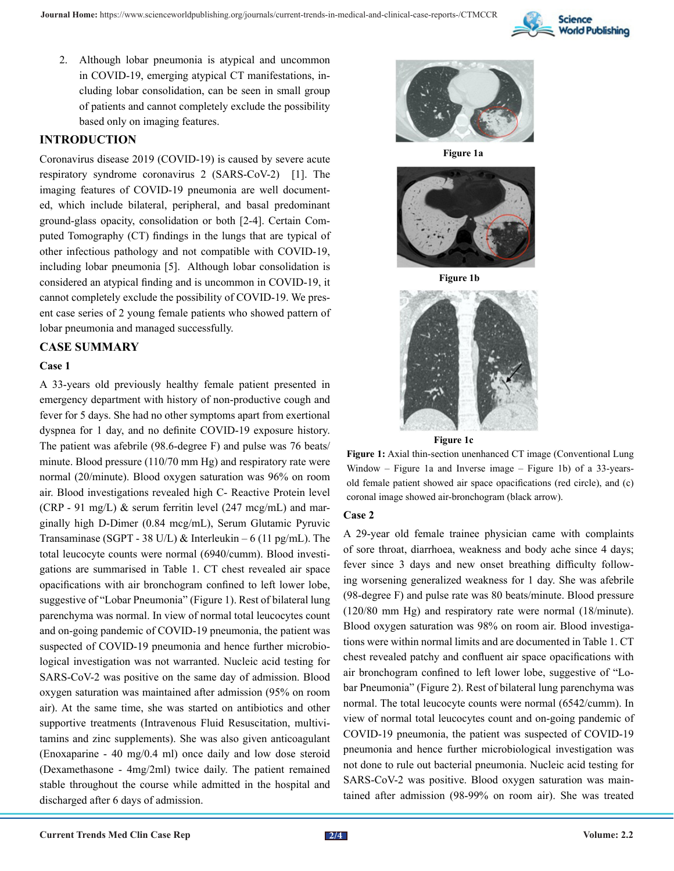

2. Although lobar pneumonia is atypical and uncommon in COVID-19, emerging atypical CT manifestations, including lobar consolidation, can be seen in small group of patients and cannot completely exclude the possibility based only on imaging features.

# **INTRODUCTION**

Coronavirus disease 2019 (COVID-19) is caused by severe acute respiratory syndrome coronavirus 2 (SARS-CoV-2) [1]. The imaging features of COVID-19 pneumonia are well documented, which include bilateral, peripheral, and basal predominant ground-glass opacity, consolidation or both [2-4]. Certain Computed Tomography (CT) findings in the lungs that are typical of other infectious pathology and not compatible with COVID-19, including lobar pneumonia [5]. Although lobar consolidation is considered an atypical finding and is uncommon in COVID-19, it cannot completely exclude the possibility of COVID-19. We present case series of 2 young female patients who showed pattern of lobar pneumonia and managed successfully.

# **CASE SUMMARY**

#### **Case 1**

A 33-years old previously healthy female patient presented in emergency department with history of non-productive cough and fever for 5 days. She had no other symptoms apart from exertional dyspnea for 1 day, and no definite COVID-19 exposure history. The patient was afebrile (98.6-degree F) and pulse was 76 beats/ minute. Blood pressure (110/70 mm Hg) and respiratory rate were normal (20/minute). Blood oxygen saturation was 96% on room air. Blood investigations revealed high C- Reactive Protein level (CRP - 91 mg/L)  $\&$  serum ferritin level (247 mcg/mL) and marginally high D-Dimer (0.84 mcg/mL), Serum Glutamic Pyruvic Transaminase (SGPT - 38 U/L) & Interleukin – 6 (11 pg/mL). The total leucocyte counts were normal (6940/cumm). Blood investigations are summarised in Table 1. CT chest revealed air space opacifications with air bronchogram confined to left lower lobe, suggestive of "Lobar Pneumonia" (Figure 1). Rest of bilateral lung parenchyma was normal. In view of normal total leucocytes count and on-going pandemic of COVID-19 pneumonia, the patient was suspected of COVID-19 pneumonia and hence further microbiological investigation was not warranted. Nucleic acid testing for SARS-CoV-2 was positive on the same day of admission. Blood oxygen saturation was maintained after admission (95% on room air). At the same time, she was started on antibiotics and other supportive treatments (Intravenous Fluid Resuscitation, multivitamins and zinc supplements). She was also given anticoagulant (Enoxaparine - 40 mg/0.4 ml) once daily and low dose steroid (Dexamethasone - 4mg/2ml) twice daily. The patient remained stable throughout the course while admitted in the hospital and discharged after 6 days of admission.



**Figure 1a**



**Figure 1b**



**Figure 1c**

**Figure 1:** Axial thin-section unenhanced CT image (Conventional Lung Window – Figure 1a and Inverse image – Figure 1b) of a 33-yearsold female patient showed air space opacifications (red circle), and (c) coronal image showed air-bronchogram (black arrow).

#### **Case 2**

A 29-year old female trainee physician came with complaints of sore throat, diarrhoea, weakness and body ache since 4 days; fever since 3 days and new onset breathing difficulty following worsening generalized weakness for 1 day. She was afebrile (98-degree F) and pulse rate was 80 beats/minute. Blood pressure (120/80 mm Hg) and respiratory rate were normal (18/minute). Blood oxygen saturation was 98% on room air. Blood investigations were within normal limits and are documented in Table 1. CT chest revealed patchy and confluent air space opacifications with air bronchogram confined to left lower lobe, suggestive of "Lobar Pneumonia" (Figure 2). Rest of bilateral lung parenchyma was normal. The total leucocyte counts were normal (6542/cumm). In view of normal total leucocytes count and on-going pandemic of COVID-19 pneumonia, the patient was suspected of COVID-19 pneumonia and hence further microbiological investigation was not done to rule out bacterial pneumonia. Nucleic acid testing for SARS-CoV-2 was positive. Blood oxygen saturation was maintained after admission (98-99% on room air). She was treated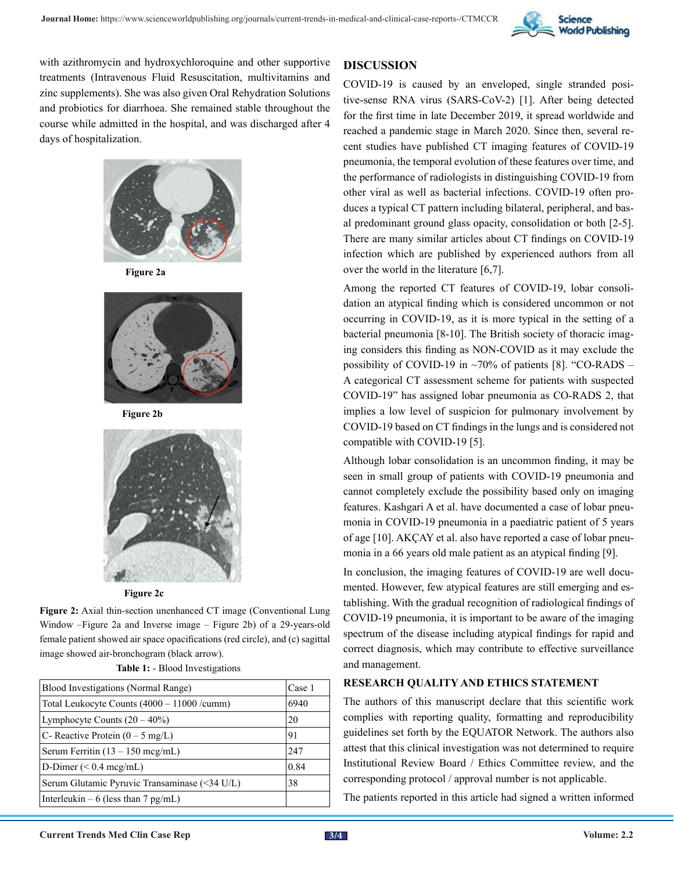

with azithromycin and hydroxychloroquine and other supportive treatments (Intravenous Fluid Resuscitation, multivitamins and zinc supplements). She was also given Oral Rehydration Solutions and probiotics for diarrhoea. She remained stable throughout the course while admitted in the hospital, and was discharged after 4 days of hospitalization.



**Figure 2a**



**Figure 2b**





**Figure 2:** Axial thin-section unenhanced CT image (Conventional Lung Window –Figure 2a and Inverse image – Figure 2b) of a 29-years-old female patient showed air space opacifications (red circle), and (c) sagittal image showed air-bronchogram (black arrow).

**Table 1:** - Blood Investigations

| Blood Investigations (Normal Range)           |      |  |
|-----------------------------------------------|------|--|
| Total Leukocyte Counts (4000 – 11000 / cumm)  |      |  |
| Lymphocyte Counts $(20 – 40\%)$               | 20   |  |
| C- Reactive Protein $(0 - 5 \text{ mg/L})$    | 91   |  |
| Serum Ferritin $(13 - 150 \text{ meg/mL})$    | 247  |  |
| D-Dimer $(< 0.4$ mcg/mL)                      | 0.84 |  |
| Serum Glutamic Pyruvic Transaminase (<34 U/L) | 38   |  |
| Interleukin – 6 (less than 7 pg/mL)           |      |  |

#### **DISCUSSION**

COVID-19 is caused by an enveloped, single stranded positive-sense RNA virus (SARS-CoV-2) [1]. After being detected for the first time in late December 2019, it spread worldwide and reached a pandemic stage in March 2020. Since then, several recent studies have published CT imaging features of COVID-19 pneumonia, the temporal evolution of these features over time, and the performance of radiologists in distinguishing COVID-19 from other viral as well as bacterial infections. COVID-19 often produces a typical CT pattern including bilateral, peripheral, and basal predominant ground glass opacity, consolidation or both [2-5]. There are many similar articles about CT findings on COVID-19 infection which are published by experienced authors from all over the world in the literature [6,7].

Among the reported CT features of COVID-19, lobar consolidation an atypical finding which is considered uncommon or not occurring in COVID-19, as it is more typical in the setting of a bacterial pneumonia [8-10]. The British society of thoracic imaging considers this finding as NON-COVID as it may exclude the possibility of COVID-19 in  $\sim$ 70% of patients [8]. "CO-RADS – A categorical CT assessment scheme for patients with suspected COVID-19" has assigned lobar pneumonia as CO-RADS 2, that implies a low level of suspicion for pulmonary involvement by COVID-19 based on CT findings in the lungs and is considered not compatible with COVID-19 [5].

Although lobar consolidation is an uncommon finding, it may be seen in small group of patients with COVID-19 pneumonia and cannot completely exclude the possibility based only on imaging features. Kashgari A et al. have documented a case of lobar pneumonia in COVID-19 pneumonia in a paediatric patient of 5 years of age [10]. AKÇAY et al. also have reported a case of lobar pneumonia in a 66 years old male patient as an atypical finding [9].

In conclusion, the imaging features of COVID-19 are well documented. However, few atypical features are still emerging and establishing. With the gradual recognition of radiological findings of COVID-19 pneumonia, it is important to be aware of the imaging spectrum of the disease including atypical findings for rapid and correct diagnosis, which may contribute to effective surveillance and management.

## **RESEARCH QUALITY AND ETHICS STATEMENT**

The authors of this manuscript declare that this scientific work complies with reporting quality, formatting and reproducibility guidelines set forth by the EQUATOR Network. The authors also attest that this clinical investigation was not determined to require Institutional Review Board / Ethics Committee review, and the corresponding protocol / approval number is not applicable.

The patients reported in this article had signed a written informed